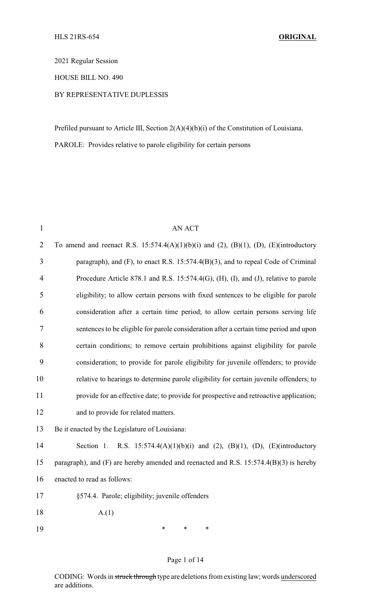2021 Regular Session

HOUSE BILL NO. 490

#### BY REPRESENTATIVE DUPLESSIS

Prefiled pursuant to Article III, Section 2(A)(4)(b)(i) of the Constitution of Louisiana. PAROLE: Provides relative to parole eligibility for certain persons

| $\mathbf{1}$   | <b>AN ACT</b>                                                                           |
|----------------|-----------------------------------------------------------------------------------------|
| $\overline{2}$ | To amend and reenact R.S. 15:574.4(A)(1)(b)(i) and (2), (B)(1), (D), (E)(introductory   |
| 3              | paragraph), and (F), to enact R.S. 15:574.4(B)(3), and to repeal Code of Criminal       |
| 4              | Procedure Article 878.1 and R.S. 15:574.4(G), (H), (I), and (J), relative to parole     |
| 5              | eligibility; to allow certain persons with fixed sentences to be eligible for parole    |
| 6              | consideration after a certain time period; to allow certain persons serving life        |
| 7              | sentences to be eligible for parole consideration after a certain time period and upon  |
| 8              | certain conditions; to remove certain prohibitions against eligibility for parole       |
| 9              | consideration; to provide for parole eligibility for juvenile offenders; to provide     |
| 10             | relative to hearings to determine parole eligibility for certain juvenile offenders; to |
| 11             | provide for an effective date; to provide for prospective and retroactive application;  |
| 12             | and to provide for related matters.                                                     |
| 13             | Be it enacted by the Legislature of Louisiana:                                          |
| 14             | Section 1. R.S. $15:574.4(A)(1)(b)(i)$ and (2), (B)(1), (D), (E)(introductory           |
| 15             | paragraph), and (F) are hereby amended and reenacted and R.S. 15:574.4(B)(3) is hereby  |
| 16             | enacted to read as follows:                                                             |
| 17             | §574.4. Parole; eligibility; juvenile offenders                                         |
| 18             | A(1)                                                                                    |
| 19             | *<br>*<br>∗                                                                             |
|                |                                                                                         |

#### Page 1 of 14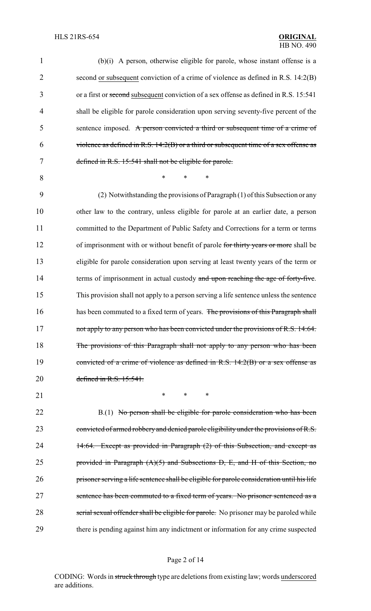| 1              | (b)(i) A person, otherwise eligible for parole, whose instant offense is a                 |
|----------------|--------------------------------------------------------------------------------------------|
| $\overline{2}$ | second or subsequent conviction of a crime of violence as defined in R.S. 14:2(B)          |
| 3              | or a first or second subsequent conviction of a sex offense as defined in R.S. 15:541      |
| $\overline{4}$ | shall be eligible for parole consideration upon serving seventy-five percent of the        |
| 5              | sentence imposed. A person convicted a third or subsequent time of a crime of              |
| 6              | violence as defined in R.S. 14:2(B) or a third or subsequent time of a sex offense as      |
| 7              | defined in R.S. 15:541 shall not be eligible for parole.                                   |
| 8              | $\ast$<br>*<br>$\ast$                                                                      |
| 9              | (2) Notwithstanding the provisions of Paragraph (1) of this Subsection or any              |
| 10             | other law to the contrary, unless eligible for parole at an earlier date, a person         |
| 11             | committed to the Department of Public Safety and Corrections for a term or terms           |
| 12             | of imprisonment with or without benefit of parole for thirty years or more shall be        |
| 13             | eligible for parole consideration upon serving at least twenty years of the term or        |
| 14             | terms of imprisonment in actual custody and upon reaching the age of forty-five.           |
| 15             | This provision shall not apply to a person serving a life sentence unless the sentence     |
| 16             | has been commuted to a fixed term of years. The provisions of this Paragraph shall         |
| 17             | not apply to any person who has been convicted under the provisions of R.S. 14:64.         |
| 18             | The provisions of this Paragraph shall not apply to any person who has been                |
| 19             | convicted of a crime of violence as defined in R.S. 14:2(B) or a sex offense as            |
| 20             | defined in R.S. 15:541.                                                                    |
| 21             | *<br>*<br>$\ast$                                                                           |
| 22             | B.(1) No person shall be eligible for parole consideration who has been                    |
| 23             | convicted of armed robbery and denied parole eligibility under the provisions of R.S.      |
| 24             | 14:64. Except as provided in Paragraph (2) of this Subsection, and except as               |
| 25             | provided in Paragraph $(A)(5)$ and Subsections D, E, and H of this Section, no             |
| 26             | prisoner serving a life sentence shall be eligible for parole consideration until his life |
| 27             | sentence has been commuted to a fixed term of years. No prisoner sentenced as a            |
| 28             | serial sexual offender shall be eligible for parole. No prisoner may be paroled while      |
| 29             | there is pending against him any indictment or information for any crime suspected         |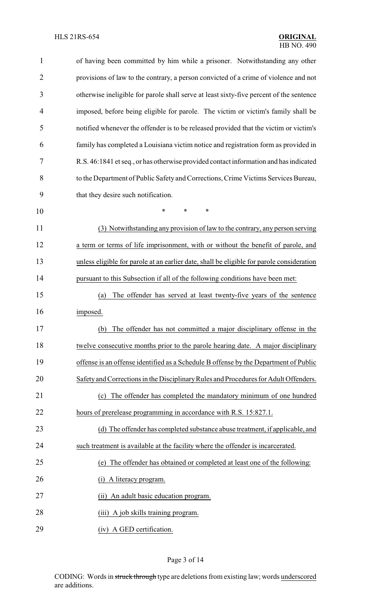| $\mathbf{1}$   | of having been committed by him while a prisoner. Notwithstanding any other               |
|----------------|-------------------------------------------------------------------------------------------|
| $\overline{2}$ | provisions of law to the contrary, a person convicted of a crime of violence and not      |
| 3              | otherwise ineligible for parole shall serve at least sixty-five percent of the sentence   |
| 4              | imposed, before being eligible for parole. The victim or victim's family shall be         |
| 5              | notified whenever the offender is to be released provided that the victim or victim's     |
| 6              | family has completed a Louisiana victim notice and registration form as provided in       |
| 7              | R.S. 46:1841 et seq., or has otherwise provided contact information and has indicated     |
| 8              | to the Department of Public Safety and Corrections, Crime Victims Services Bureau,        |
| 9              | that they desire such notification.                                                       |
| 10             | *<br>*<br>*                                                                               |
| 11             | (3) Notwithstanding any provision of law to the contrary, any person serving              |
| 12             | a term or terms of life imprisonment, with or without the benefit of parole, and          |
| 13             | unless eligible for parole at an earlier date, shall be eligible for parole consideration |
| 14             | pursuant to this Subsection if all of the following conditions have been met:             |
| 15             | The offender has served at least twenty-five years of the sentence<br>(a)                 |
| 16             | imposed.                                                                                  |
| 17             | (b) The offender has not committed a major disciplinary offense in the                    |
| 18             | twelve consecutive months prior to the parole hearing date. A major disciplinary          |
| 19             | offense is an offense identified as a Schedule B offense by the Department of Public      |
| 20             | Safety and Corrections in the Disciplinary Rules and Procedures for Adult Offenders.      |
| 21             | The offender has completed the mandatory minimum of one hundred<br>(c)                    |
| 22             | hours of prerelease programming in accordance with R.S. 15:827.1.                         |
| 23             | (d) The offender has completed substance abuse treatment, if applicable, and              |
| 24             | such treatment is available at the facility where the offender is incarcerated.           |
| 25             | The offender has obtained or completed at least one of the following:<br>(e)              |
| 26             | A literacy program.<br>(i)                                                                |
| 27             | (ii) An adult basic education program.                                                    |
| 28             | (iii) A job skills training program.                                                      |
| 29             | (iv) A GED certification.                                                                 |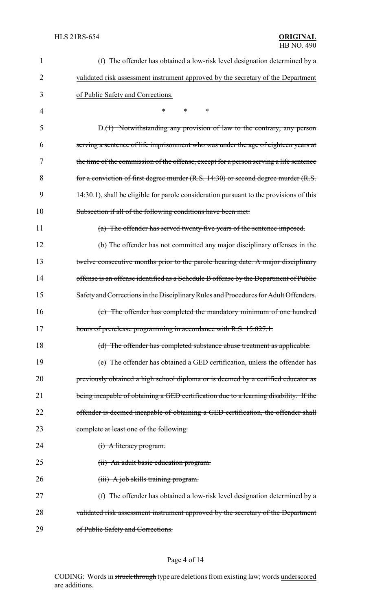| 1  | The offender has obtained a low-risk level designation determined by a<br>(f)           |
|----|-----------------------------------------------------------------------------------------|
| 2  | validated risk assessment instrument approved by the secretary of the Department        |
| 3  | of Public Safety and Corrections.                                                       |
| 4  | $\ast$<br>∗<br>$\ast$                                                                   |
| 5  | D.(1) Notwithstanding any provision of law to the contrary, any person                  |
| 6  | serving a sentence of life imprisonment who was under the age of eighteen years at      |
| 7  | the time of the commission of the offense, except for a person serving a life sentence  |
| 8  | for a conviction of first degree murder (R.S. 14:30) or second degree murder (R.S.      |
| 9  | 14:30.1), shall be eligible for parole consideration pursuant to the provisions of this |
| 10 | Subsection if all of the following conditions have been met:                            |
| 11 | (a) The offender has served twenty-five years of the sentence imposed.                  |
| 12 | (b) The offender has not committed any major disciplinary offenses in the               |
| 13 | twelve consecutive months prior to the parole hearing date. A major disciplinary        |
| 14 | offense is an offense identified as a Schedule B offense by the Department of Public    |
| 15 | Safety and Corrections in the Disciplinary Rules and Procedures for Adult Offenders.    |
| 16 | (c) The offender has completed the mandatory minimum of one hundred                     |
| 17 | hours of prerelease programming in accordance with R.S. 15:827.1.                       |
| 18 | (d) The offender has completed substance abuse treatment as applicable.                 |
| 19 | (e) The offender has obtained a GED certification, unless the offender has              |
| 20 | previously obtained a high school diploma or is deemed by a certified educator as       |
| 21 | being incapable of obtaining a GED certification due to a learning disability. If the   |
| 22 | offender is deemed incapable of obtaining a GED certification, the offender shall       |
| 23 | complete at least one of the following:                                                 |
| 24 | $(i)$ A literacy program.                                                               |
| 25 | (ii) An adult basic education program.                                                  |
| 26 | (iii) A job skills training program.                                                    |
| 27 | (f) The offender has obtained a low-risk level designation determined by a              |
| 28 | validated risk assessment instrument approved by the secretary of the Department        |
| 29 | of Public Safety and Corrections.                                                       |

# Page 4 of 14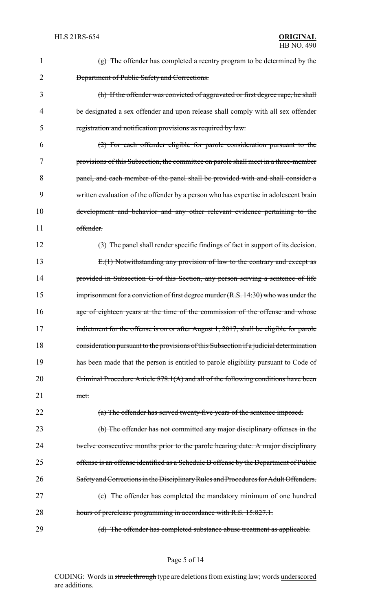| 1              | $(g)$ The offender has completed a reentry program to be determined by the              |
|----------------|-----------------------------------------------------------------------------------------|
| $\overline{2}$ | <b>Department of Public Safety and Corrections.</b>                                     |
| 3              | (h) If the offender was convicted of aggravated or first degree rape, he shall          |
| 4              | be designated a sex offender and upon release shall comply with all sex offender        |
| 5              | registration and notification provisions as required by law.                            |
| 6              | (2) For each offender eligible for parole consideration pursuant to the                 |
| 7              | provisions of this Subsection, the committee on parole shall meet in a three-member     |
| 8              | panel, and each member of the panel shall be provided with and shall consider a         |
| 9              | written evaluation of the offender by a person who has expertise in adolescent brain    |
| 10             | development and behavior and any other relevant evidence pertaining to the              |
| 11             | offender.                                                                               |
| 12             | $(3)$ The panel shall render specific findings of fact in support of its decision.      |
| 13             | $E(1)$ Notwithstanding any provision of law to the contrary and except as               |
| 14             | provided in Subsection G of this Section, any person serving a sentence of life         |
| 15             | imprisonment for a conviction of first degree murder $(R.S. 14:30)$ who was under the   |
| 16             | age of eighteen years at the time of the commission of the offense and whose            |
| 17             | indictment for the offense is on or after August 1, 2017, shall be eligible for parole  |
| 18             | consideration pursuant to the provisions of this Subsection if a judicial determination |
| 19             | has been made that the person is entitled to parole eligibility pursuant to Code of     |
| 20             | Criminal Procedure Article 878.1(A) and all of the following conditions have been       |
| 21             | met:                                                                                    |
| 22             | (a) The offender has served twenty-five years of the sentence imposed.                  |
| 23             | (b) The offender has not committed any major disciplinary offenses in the               |
| 24             | twelve consecutive months prior to the parole hearing date. A major disciplinary        |
| 25             | offense is an offense identified as a Schedule B offense by the Department of Public    |
| 26             | Safety and Corrections in the Disciplinary Rules and Procedures for Adult Offenders.    |
| 27             | (c) The offender has completed the mandatory minimum of one hundred                     |
| 28             | hours of prerelease programming in accordance with R.S. 15:827.1.                       |
| 29             | (d) The offender has completed substance abuse treatment as applicable.                 |

Page 5 of 14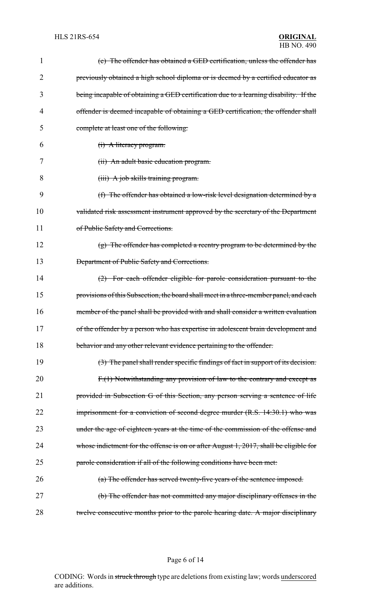| 1  | (e) The offender has obtained a GED certification, unless the offender has               |
|----|------------------------------------------------------------------------------------------|
| 2  | previously obtained a high school diploma or is deemed by a certified educator as        |
| 3  | being incapable of obtaining a GED certification due to a learning disability. If the    |
| 4  | offender is deemed incapable of obtaining a GED certification, the offender shall        |
| 5  | complete at least one of the following:                                                  |
| 6  | (i) A literacy program.                                                                  |
| 7  | (ii) An adult basic education program.                                                   |
| 8  | (iii) A job skills training program.                                                     |
| 9  | (f) The offender has obtained a low-risk level designation determined by a               |
| 10 | validated risk assessment instrument approved by the secretary of the Department         |
| 11 | of Public Safety and Corrections.                                                        |
| 12 | $(g)$ The offender has completed a reentry program to be determined by the               |
| 13 | Department of Public Safety and Corrections.                                             |
| 14 | $(2)$ For each offender eligible for parole consideration pursuant to the                |
| 15 | provisions of this Subsection, the board shall meet in a three-member panel, and each    |
| 16 | member of the panel shall be provided with and shall consider a written evaluation       |
| 17 | of the offender by a person who has expertise in adolescent brain development and        |
| 18 | behavior and any other relevant evidence pertaining to the offender.                     |
| 19 | (3) The panel shall render specific findings of fact in support of its decision.         |
| 20 | $F1(1)$ Notwithstanding any provision of law to the contrary and except as               |
| 21 | provided in Subsection G of this Section, any person serving a sentence of life          |
| 22 | imprisonment for a conviction of second degree murder (R.S. 14:30.1) who was             |
| 23 | under the age of eighteen years at the time of the commission of the offense and         |
| 24 | whose indictment for the offense is on or after August $1, 2017$ , shall be eligible for |
| 25 | parole consideration if all of the following conditions have been met:                   |
| 26 | (a) The offender has served twenty-five years of the sentence imposed.                   |
| 27 | (b) The offender has not committed any major disciplinary offenses in the                |
| 28 | twelve consecutive months prior to the parole hearing date. A major disciplinary         |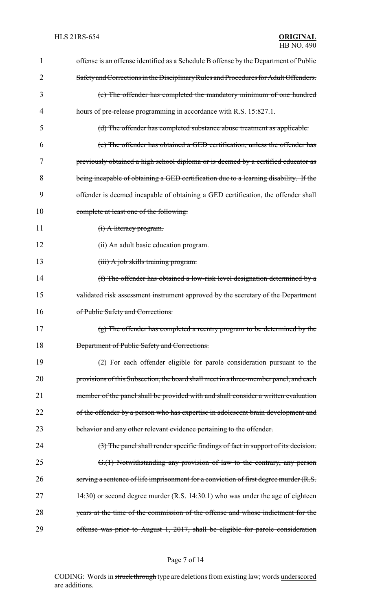| 1  | offense is an offense identified as a Schedule B offense by the Department of Public  |
|----|---------------------------------------------------------------------------------------|
| 2  | Safety and Corrections in the Disciplinary Rules and Procedures for Adult Offenders.  |
| 3  | (c) The offender has completed the mandatory minimum of one hundred                   |
| 4  | hours of pre-release programming in accordance with R.S. 15:827.1.                    |
| 5  | (d) The offender has completed substance abuse treatment as applicable.               |
| 6  | (e) The offender has obtained a GED certification, unless the offender has            |
| 7  | previously obtained a high school diploma or is deemed by a certified educator as     |
| 8  | being incapable of obtaining a GED certification due to a learning disability. If the |
| 9  | offender is deemed incapable of obtaining a GED certification, the offender shall     |
| 10 | complete at least one of the following:                                               |
| 11 | (i) A literacy program.                                                               |
| 12 | (ii) An adult basic education program.                                                |
| 13 | $(iii)$ A job skills training program.                                                |
| 14 | (f) The offender has obtained a low-risk level designation determined by a            |
| 15 | validated risk assessment instrument approved by the secretary of the Department      |
| 16 | of Public Safety and Corrections.                                                     |
| 17 | (g) The offender has completed a reentry program to be determined by the              |
| 18 | <b>Department of Public Safety and Corrections.</b>                                   |
| 19 | $(2)$ For each offender eligible for parole consideration pursuant to the             |
| 20 | provisions of this Subsection, the board shall meet in a three-member panel, and each |
| 21 | member of the panel shall be provided with and shall consider a written evaluation    |
| 22 | of the offender by a person who has expertise in adolescent brain development and     |
| 23 | behavior and any other relevant evidence pertaining to the offender.                  |
| 24 | (3) The panel shall render specific findings of fact in support of its decision.      |
| 25 | G.(1) Notwithstanding any provision of law to the contrary, any person                |
| 26 | serving a sentence of life imprisonment for a conviction of first degree murder (R.S. |
| 27 | 14:30) or second degree murder (R.S. 14:30.1) who was under the age of eighteen       |
| 28 | years at the time of the commission of the offense and whose indictment for the       |
| 29 | offense was prior to August 1, 2017, shall be eligible for parole consideration       |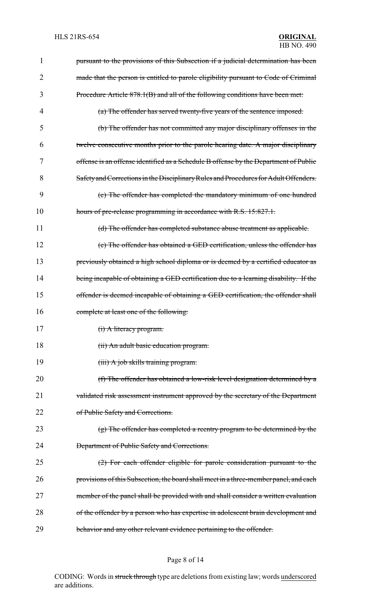| 1  | pursuant to the provisions of this Subsection if a judicial determination has been    |
|----|---------------------------------------------------------------------------------------|
| 2  | made that the person is entitled to parole eligibility pursuant to Code of Criminal   |
| 3  | Procedure Article 878.1(B) and all of the following conditions have been met:         |
| 4  | (a) The offender has served twenty-five years of the sentence imposed.                |
| 5  | (b) The offender has not committed any major disciplinary offenses in the             |
| 6  | twelve consecutive months prior to the parole hearing date. A major disciplinary      |
| 7  | offense is an offense identified as a Schedule B offense by the Department of Public  |
| 8  | Safety and Corrections in the Disciplinary Rules and Procedures for Adult Offenders.  |
| 9  | (c) The offender has completed the mandatory minimum of one hundred                   |
| 10 | hours of pre-release programming in accordance with R.S. 15:827.1.                    |
| 11 | (d) The offender has completed substance abuse treatment as applicable.               |
| 12 | (e) The offender has obtained a GED certification, unless the offender has            |
| 13 | previously obtained a high school diploma or is deemed by a certified educator as     |
| 14 | being incapable of obtaining a GED certification due to a learning disability. If the |
| 15 | offender is deemed incapable of obtaining a GED certification, the offender shall     |
| 16 | complete at least one of the following:                                               |
| 17 | (i) A literacy program.                                                               |
| 18 | (ii) An adult basic education program.                                                |
| 19 | (iii) A job skills training program.                                                  |
| 20 | (f) The offender has obtained a low-risk level designation determined by a            |
| 21 | validated risk assessment instrument approved by the secretary of the Department      |
| 22 | of Public Safety and Corrections.                                                     |
| 23 | $(g)$ The offender has completed a reentry program to be determined by the            |
| 24 | <b>Department of Public Safety and Corrections.</b>                                   |
| 25 | $(2)$ For each offender eligible for parole consideration pursuant to the             |
| 26 | provisions of this Subsection, the board shall meet in a three-member panel, and each |
| 27 | member of the panel shall be provided with and shall consider a written evaluation    |
| 28 | of the offender by a person who has expertise in adolescent brain development and     |
| 29 | behavior and any other relevant evidence pertaining to the offender.                  |

# Page 8 of 14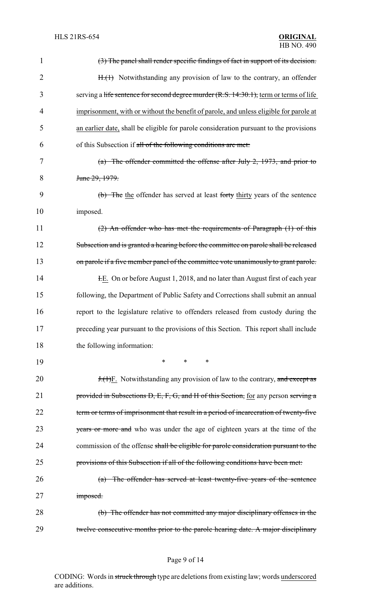| $\mathbf{1}$ | (3) The panel shall render specific findings of fact in support of its decision.       |
|--------------|----------------------------------------------------------------------------------------|
| 2            | H.(1) Notwithstanding any provision of law to the contrary, an offender                |
| 3            | serving a life sentence for second degree murder (R.S. 14:30.1), term or terms of life |
| 4            | imprisonment, with or without the benefit of parole, and unless eligible for parole at |
| 5            | an earlier date, shall be eligible for parole consideration pursuant to the provisions |
| 6            | of this Subsection if all of the following conditions are met:                         |
| 7            | $(a)$ The offender committed the offense after July 2, 1973, and prior to              |
| 8            | June 29, 1979.                                                                         |
| 9            | (b) The the offender has served at least forty thirty years of the sentence            |
| 10           | imposed.                                                                               |
| 11           | (2) An offender who has met the requirements of Paragraph (1) of this                  |
| 12           | Subsection and is granted a hearing before the committee on parole shall be released   |
| 13           | on parole if a five member panel of the committee vote unanimously to grant parole.    |
| 14           | E. On or before August 1, 2018, and no later than August first of each year            |
| 15           | following, the Department of Public Safety and Corrections shall submit an annual      |
| 16           | report to the legislature relative to offenders released from custody during the       |
| 17           | preceding year pursuant to the provisions of this Section. This report shall include   |
| 18           | the following information:                                                             |
| 19           | $\ast$<br>∗<br>*                                                                       |
| 20           | <b>J.</b> (1)F. Notwithstanding any provision of law to the contrary, and except as    |
| 21           | provided in Subsections D, E, F, G, and H of this Section, for any person serving a    |
| 22           | term or terms of imprisonment that result in a period of incarceration of twenty-five  |
| 23           | years or more and who was under the age of eighteen years at the time of the           |
| 24           | commission of the offense shall be eligible for parole consideration pursuant to the   |
| 25           | provisions of this Subsection if all of the following conditions have been met:        |
| 26           | (a) The offender has served at least twenty-five years of the sentence                 |
| 27           | imposed.                                                                               |
| 28           | (b) The offender has not committed any major disciplinary offenses in the              |
| 29           | twelve consecutive months prior to the parole hearing date. A major disciplinary       |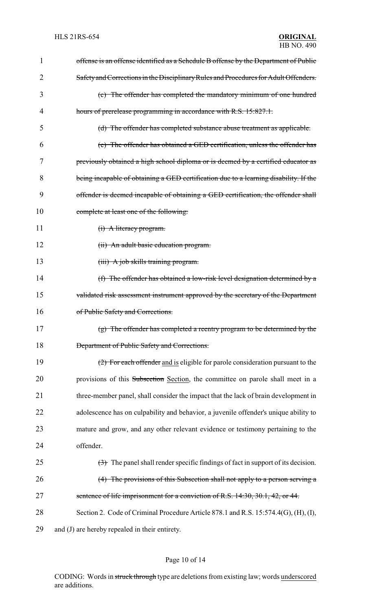| 1  | offense is an offense identified as a Schedule B offense by the Department of Public                    |  |
|----|---------------------------------------------------------------------------------------------------------|--|
| 2  | Safety and Corrections in the Disciplinary Rules and Procedures for Adult Offenders.                    |  |
| 3  | (c) The offender has completed the mandatory minimum of one hundred                                     |  |
| 4  | hours of prerelease programming in accordance with R.S. 15:827.1.                                       |  |
| 5  | (d) The offender has completed substance abuse treatment as applicable.                                 |  |
| 6  | (e) The offender has obtained a GED certification, unless the offender has                              |  |
| 7  | previously obtained a high school diploma or is deemed by a certified educator as                       |  |
| 8  | being incapable of obtaining a GED certification due to a learning disability. If the                   |  |
| 9  | offender is deemed incapable of obtaining a GED certification, the offender shall                       |  |
| 10 | complete at least one of the following:                                                                 |  |
| 11 | (i) A literacy program.                                                                                 |  |
| 12 | (ii) An adult basic education program.                                                                  |  |
| 13 | (iii) A job skills training program.                                                                    |  |
| 14 | (f) The offender has obtained a low-risk level designation determined by a                              |  |
| 15 | validated risk assessment instrument approved by the secretary of the Department                        |  |
| 16 | of Public Safety and Corrections.                                                                       |  |
| 17 | $(g)$ The offender has completed a reentry program to be determined by the                              |  |
| 18 | <b>Department of Public Safety and Corrections.</b>                                                     |  |
| 19 | (2) For each offender and is eligible for parole consideration pursuant to the                          |  |
| 20 | provisions of this Subsection Section, the committee on parole shall meet in a                          |  |
| 21 | three-member panel, shall consider the impact that the lack of brain development in                     |  |
| 22 | adolescence has on culpability and behavior, a juvenile offender's unique ability to                    |  |
| 23 | mature and grow, and any other relevant evidence or testimony pertaining to the                         |  |
| 24 | offender.                                                                                               |  |
| 25 | $\left(\frac{1}{2}\right)$ The panel shall render specific findings of fact in support of its decision. |  |
| 26 | (4) The provisions of this Subsection shall not apply to a person serving a                             |  |
| 27 | sentence of life imprisonment for a conviction of R.S. 14:30, 30.1, 42, or 44.                          |  |
| 28 | Section 2. Code of Criminal Procedure Article 878.1 and R.S. 15:574.4(G), (H), (I),                     |  |
| 29 | and (J) are hereby repealed in their entirety.                                                          |  |

# Page 10 of 14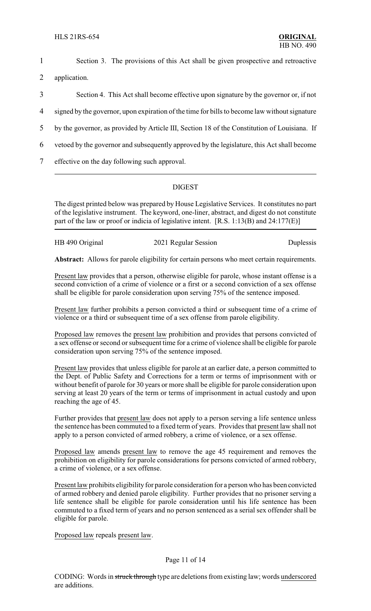1 Section 3. The provisions of this Act shall be given prospective and retroactive

2 application.

- 3 Section 4. This Act shall become effective upon signature by the governor or, if not
- 4 signed by the governor, upon expiration of the time for bills to become law without signature
- 5 by the governor, as provided by Article III, Section 18 of the Constitution of Louisiana. If
- 6 vetoed by the governor and subsequently approved by the legislature, this Act shall become
- 7 effective on the day following such approval.

#### DIGEST

The digest printed below was prepared by House Legislative Services. It constitutes no part of the legislative instrument. The keyword, one-liner, abstract, and digest do not constitute part of the law or proof or indicia of legislative intent. [R.S. 1:13(B) and 24:177(E)]

| HB 490 Original | 2021 Regular Session | Duplessis |
|-----------------|----------------------|-----------|
|                 |                      |           |
|                 |                      |           |

**Abstract:** Allows for parole eligibility for certain persons who meet certain requirements.

Present law provides that a person, otherwise eligible for parole, whose instant offense is a second conviction of a crime of violence or a first or a second conviction of a sex offense shall be eligible for parole consideration upon serving 75% of the sentence imposed.

Present law further prohibits a person convicted a third or subsequent time of a crime of violence or a third or subsequent time of a sex offense from parole eligibility.

Proposed law removes the present law prohibition and provides that persons convicted of a sex offense or second or subsequent time for a crime of violence shall be eligible for parole consideration upon serving 75% of the sentence imposed.

Present law provides that unless eligible for parole at an earlier date, a person committed to the Dept. of Public Safety and Corrections for a term or terms of imprisonment with or without benefit of parole for 30 years or more shall be eligible for parole consideration upon serving at least 20 years of the term or terms of imprisonment in actual custody and upon reaching the age of 45.

Further provides that present law does not apply to a person serving a life sentence unless the sentence has been commuted to a fixed term of years. Provides that present law shall not apply to a person convicted of armed robbery, a crime of violence, or a sex offense.

Proposed law amends present law to remove the age 45 requirement and removes the prohibition on eligibility for parole considerations for persons convicted of armed robbery, a crime of violence, or a sex offense.

Present law prohibits eligibility for parole consideration for a person who has been convicted of armed robbery and denied parole eligibility. Further provides that no prisoner serving a life sentence shall be eligible for parole consideration until his life sentence has been commuted to a fixed term of years and no person sentenced as a serial sex offender shall be eligible for parole.

Proposed law repeals present law.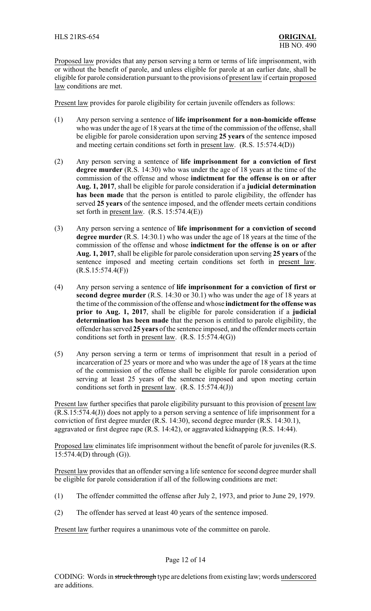Proposed law provides that any person serving a term or terms of life imprisonment, with or without the benefit of parole, and unless eligible for parole at an earlier date, shall be eligible for parole consideration pursuant to the provisions of present law if certain proposed law conditions are met.

Present law provides for parole eligibility for certain juvenile offenders as follows:

- (1) Any person serving a sentence of **life imprisonment for a non-homicide offense** who was under the age of 18 years at the time of the commission of the offense, shall be eligible for parole consideration upon serving **25 years** of the sentence imposed and meeting certain conditions set forth in present law. (R.S. 15:574.4(D))
- (2) Any person serving a sentence of **life imprisonment for a conviction of first degree murder** (R.S. 14:30) who was under the age of 18 years at the time of the commission of the offense and whose **indictment for the offense is on or after Aug. 1, 2017**, shall be eligible for parole consideration if a **judicial determination has been made** that the person is entitled to parole eligibility, the offender has served **25 years** of the sentence imposed, and the offender meets certain conditions set forth in present law. (R.S. 15:574.4(E))
- (3) Any person serving a sentence of **life imprisonment for a conviction of second degree murder** (R.S. 14:30.1) who was under the age of 18 years at the time of the commission of the offense and whose **indictment for the offense is on or after Aug. 1, 2017**, shall be eligible for parole consideration upon serving **25 years** of the sentence imposed and meeting certain conditions set forth in present law.  $(R.S.15:574.4(F))$
- (4) Any person serving a sentence of **life imprisonment for a conviction of first or second degree murder** (R.S. 14:30 or 30.1) who was under the age of 18 years at the time of the commission of the offense and whose **indictment for the offense was prior to Aug. 1, 2017**, shall be eligible for parole consideration if a **judicial determination has been made** that the person is entitled to parole eligibility, the offender has served **25 years** of the sentence imposed, and the offender meets certain conditions set forth in present law. (R.S. 15:574.4(G))
- (5) Any person serving a term or terms of imprisonment that result in a period of incarceration of 25 years or more and who was under the age of 18 years at the time of the commission of the offense shall be eligible for parole consideration upon serving at least 25 years of the sentence imposed and upon meeting certain conditions set forth in present law. (R.S. 15:574.4(J))

Present law further specifies that parole eligibility pursuant to this provision of present law (R.S.15:574.4(J)) does not apply to a person serving a sentence of life imprisonment for a conviction of first degree murder (R.S. 14:30), second degree murder (R.S. 14:30.1), aggravated or first degree rape (R.S. 14:42), or aggravated kidnapping (R.S. 14:44).

Proposed law eliminates life imprisonment without the benefit of parole for juveniles (R.S. 15:574.4(D) through (G)).

Present law provides that an offender serving a life sentence for second degree murder shall be eligible for parole consideration if all of the following conditions are met:

- (1) The offender committed the offense after July 2, 1973, and prior to June 29, 1979.
- (2) The offender has served at least 40 years of the sentence imposed.

Present law further requires a unanimous vote of the committee on parole.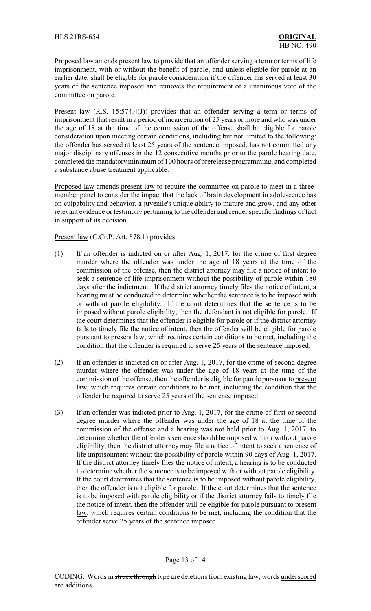Proposed law amends present law to provide that an offender serving a term or terms of life imprisonment, with or without the benefit of parole, and unless eligible for parole at an earlier date, shall be eligible for parole consideration if the offender has served at least 30 years of the sentence imposed and removes the requirement of a unanimous vote of the committee on parole.

Present law (R.S. 15:574.4(J)) provides that an offender serving a term or terms of imprisonment that result in a period of incarceration of 25 years or more and who was under the age of 18 at the time of the commission of the offense shall be eligible for parole consideration upon meeting certain conditions, including but not limited to the following: the offender has served at least 25 years of the sentence imposed, has not committed any major disciplinary offenses in the 12 consecutive months prior to the parole hearing date, completed the mandatoryminimum of 100 hours of prerelease programming, and completed a substance abuse treatment applicable.

Proposed law amends present law to require the committee on parole to meet in a threemember panel to consider the impact that the lack of brain development in adolescence has on culpability and behavior, a juvenile's unique ability to mature and grow, and any other relevant evidence or testimony pertaining to the offender and render specific findings of fact in support of its decision.

Present law (C.Cr.P. Art. 878.1) provides:

- (1) If an offender is indicted on or after Aug. 1, 2017, for the crime of first degree murder where the offender was under the age of 18 years at the time of the commission of the offense, then the district attorney may file a notice of intent to seek a sentence of life imprisonment without the possibility of parole within 180 days after the indictment. If the district attorney timely files the notice of intent, a hearing must be conducted to determine whether the sentence is to be imposed with or without parole eligibility. If the court determines that the sentence is to be imposed without parole eligibility, then the defendant is not eligible for parole. If the court determines that the offender is eligible for parole or if the district attorney fails to timely file the notice of intent, then the offender will be eligible for parole pursuant to present law, which requires certain conditions to be met, including the condition that the offender is required to serve 25 years of the sentence imposed.
- (2) If an offender is indicted on or after Aug. 1, 2017, for the crime of second degree murder where the offender was under the age of 18 years at the time of the commission of the offense, then the offender is eligible for parole pursuant to present law, which requires certain conditions to be met, including the condition that the offender be required to serve 25 years of the sentence imposed.
- (3) If an offender was indicted prior to Aug. 1, 2017, for the crime of first or second degree murder where the offender was under the age of 18 at the time of the commission of the offense and a hearing was not held prior to Aug. 1, 2017, to determine whether the offender's sentence should be imposed with or without parole eligibility, then the district attorney may file a notice of intent to seek a sentence of life imprisonment without the possibility of parole within 90 days of Aug. 1, 2017. If the district attorney timely files the notice of intent, a hearing is to be conducted to determine whether the sentence is to be imposed with or without parole eligibility. If the court determines that the sentence is to be imposed without parole eligibility, then the offender is not eligible for parole. If the court determines that the sentence is to be imposed with parole eligibility or if the district attorney fails to timely file the notice of intent, then the offender will be eligible for parole pursuant to present law, which requires certain conditions to be met, including the condition that the offender serve 25 years of the sentence imposed.